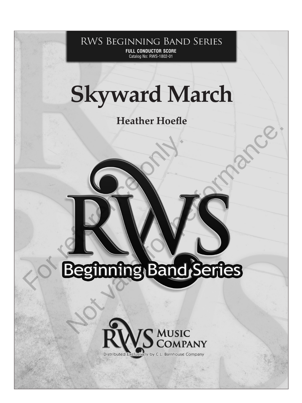

# **Skyward March**

# **Heather Hoefle**

# For RIVER CO. RWS REMARK

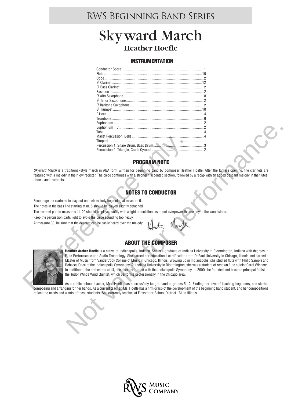### RWS Beginning Band Series

# Skyward March **Heather Hoefle**

#### **INSTRUMENTATION**

#### PROGRAM NOTE

*Skyward March* is a traditional-style march in ABA form written for beginning band by composer Heather Hoefle. After the fanfare opening, the clarinets are featured with a melody in their low register. The piece continues with a stronger, accented section, followed by a recap with an added descant melody in the flutes, oboes, and trumpets.

#### NOTES TO CONDUCTOR

Encourage the clarinets to play out on their melody beginning at measure 5.

The notes in the bass line starting at m. 5 should be played slightly detached.

The trumpet part in measures 14-20 should be played softly with a light articulation, as to not overpower the melody in the woodwinds.

Keep the percussion parts light to avoid the piece sounding too heavy.

At measure 33, be sure that the descant can be easily heard over the melody.

#### ABOUT THE COMPOSER



**Heather Archer Hoefle** is a native of Indianapolis, Indiana. She is a graduate of Indiana University in Bloomington, Indiana with degrees in Flute Performance and Audio Technology. She earned her educational certification from DePaul University in Chicago, Illinois and earned a Master of Music from VanderCook College of Music in Chicago, Illinois. Growing up in Indianapolis, she studied flute with Philip Sample and Rebecca Price of the Indianapolis Symphony. At Indiana University in Bloomington, she was a student of renown flute soloist Carol Wincenc. In addition to the orchestras at IU, she also performed with the Indianapolis Symphony. In 2000 she founded and became principal flutist in the Tudor Winds Wind Quintet, which performs professionally in the Chicago area. For reference only. Notice Theorem and Additional Countries and the Control of the Company of the Control of the Control of the Control of the Control of the Control of the Control of the Control of the Control of the Control of the Control o

As a public school teacher, Mrs. Hoefle has successfully taught band at grades 5-12. Finding her love of teaching beginners, she started composing and arranging for her bands. As a current teacher, Ms. Hoefle has a firm grasp of the development of the beginning band student, and her compositions reflect the needs and wants of these students. She currently teaches at Flossmoor School District 161 in Illinois.

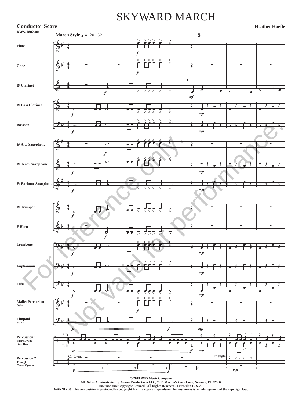# SKYWARD MARCH

**Conductor Score Heather Hoefle**

| Contractor Deore<br><b>RWS-1802-00</b>                                      |            | <b>March Style</b> $\sqrt{ }$ = 120-132 |                       |                               |                              |                         |             | 5 <sup>5</sup>          |                       |          | mainer moene     |
|-----------------------------------------------------------------------------|------------|-----------------------------------------|-----------------------|-------------------------------|------------------------------|-------------------------|-------------|-------------------------|-----------------------|----------|------------------|
|                                                                             |            |                                         |                       |                               | $\,>$<br>$\geq$<br>><br>>    | $\geq$                  |             |                         |                       |          |                  |
| Flute                                                                       |            |                                         |                       |                               |                              |                         |             |                         |                       |          |                  |
|                                                                             |            |                                         |                       |                               |                              |                         |             |                         |                       |          |                  |
|                                                                             |            |                                         |                       |                               | $\rm{>}$<br>$\geq$<br>><br>> |                         |             |                         |                       |          |                  |
| ${\bf Oboe}$                                                                |            |                                         |                       |                               |                              |                         |             |                         |                       |          |                  |
|                                                                             |            |                                         |                       |                               |                              |                         |             |                         |                       |          |                  |
|                                                                             |            |                                         |                       |                               |                              |                         |             |                         |                       |          |                  |
| $\mathbf{B}\flat$ Clarinet                                                  |            |                                         |                       |                               |                              |                         | $\bullet$   |                         |                       |          |                  |
|                                                                             |            |                                         |                       |                               |                              |                         |             |                         |                       |          |                  |
|                                                                             |            |                                         |                       |                               |                              |                         | m f         |                         |                       |          |                  |
|                                                                             |            |                                         |                       |                               |                              |                         |             |                         |                       |          |                  |
| $\mathbf{B}\flat$ Bass Clarinet                                             |            |                                         |                       |                               |                              |                         |             |                         |                       |          |                  |
|                                                                             |            |                                         |                       |                               |                              | $\leq$                  |             | $\boldsymbol{m}$        |                       |          |                  |
|                                                                             |            |                                         |                       | >                             | $>$ $>$ $>$<br>$\geq$        |                         |             |                         |                       |          |                  |
| Bassoon                                                                     |            |                                         |                       |                               |                              |                         |             |                         |                       |          |                  |
|                                                                             |            |                                         |                       |                               |                              |                         |             | $\emph{mp}$             |                       |          |                  |
|                                                                             |            |                                         |                       |                               |                              |                         |             |                         |                       |          |                  |
| $\mathbf{E}\flat$ Alto Saxophone                                            |            |                                         |                       |                               | $>$ $>$                      |                         |             |                         |                       |          |                  |
|                                                                             |            |                                         |                       |                               |                              |                         |             |                         |                       |          |                  |
|                                                                             |            |                                         |                       |                               |                              |                         |             |                         |                       |          |                  |
|                                                                             |            |                                         |                       |                               |                              |                         |             |                         |                       |          |                  |
| $\mathbf{B}\flat$ Tenor Saxophone                                           | Ģ          |                                         |                       |                               |                              |                         |             |                         |                       |          |                  |
|                                                                             |            |                                         |                       |                               |                              |                         |             | $\mathit{mp}$           |                       |          |                  |
|                                                                             |            |                                         |                       |                               |                              |                         |             |                         |                       |          |                  |
| $\mathbf{E}\flat$ Baritone Saxophone                                        |            |                                         |                       |                               |                              |                         |             |                         |                       |          |                  |
|                                                                             |            |                                         |                       |                               |                              |                         |             | mp                      |                       |          |                  |
|                                                                             |            |                                         |                       |                               |                              |                         |             |                         |                       |          |                  |
|                                                                             |            |                                         |                       |                               |                              |                         |             |                         |                       |          |                  |
| $\mathbf{B}\flat$ Trumpet                                                   |            |                                         |                       |                               |                              |                         |             |                         |                       |          |                  |
|                                                                             |            |                                         |                       |                               |                              |                         |             |                         |                       |          |                  |
|                                                                             |            |                                         |                       |                               |                              |                         |             |                         |                       |          |                  |
| F Horn                                                                      |            |                                         |                       |                               |                              |                         |             |                         |                       |          |                  |
|                                                                             |            |                                         | d                     |                               |                              | $\frac{\Phi}{\Phi}$     |             |                         |                       |          |                  |
|                                                                             |            |                                         |                       | $\rm{>}$                      | $\,>$<br>$>$ $>$ $>$         |                         |             |                         |                       |          |                  |
| <b>Trombone</b>                                                             | $\sum_{b}$ | d                                       | $\overline{\bullet}-$ |                               |                              | Θ                       |             |                         |                       |          |                  |
|                                                                             |            |                                         |                       |                               |                              |                         |             | mp                      |                       |          |                  |
|                                                                             |            |                                         |                       |                               |                              |                         |             |                         |                       |          |                  |
| Euphonium                                                                   | J          |                                         |                       | $\,>$ .                       | $>$ > ><br>$\geq$            | $\rm{~}$<br>s           |             |                         |                       |          |                  |
|                                                                             |            |                                         | . .                   |                               |                              |                         |             |                         |                       |          |                  |
|                                                                             |            | $\boldsymbol{f}$                        |                       |                               |                              |                         |             | $\vert mp$              |                       |          |                  |
| Tuba                                                                        |            |                                         |                       |                               |                              |                         |             |                         |                       |          |                  |
|                                                                             |            | 궁.                                      | 7                     |                               |                              |                         |             |                         |                       |          |                  |
|                                                                             |            | $\boldsymbol{f}$                        | ಕ                     |                               |                              | $\overline{\mathsf{S}}$ |             | $\mathbf{m} \mathbf{p}$ |                       |          |                  |
| <b>Mallet Percussion</b>                                                    |            |                                         |                       |                               | $\geq$<br>$\geq$<br>↘        | ↘                       |             |                         |                       |          |                  |
| Bells                                                                       |            |                                         |                       |                               |                              |                         |             |                         |                       |          |                  |
|                                                                             | $\bullet$  |                                         |                       | f                             |                              |                         |             |                         |                       |          |                  |
|                                                                             |            |                                         |                       |                               |                              |                         |             |                         |                       |          |                  |
| $\label{eq:1} \underset{\mathbf{B}\flat,\,\mathbf{E}\flat}{\text{Timpani}}$ |            |                                         |                       |                               |                              |                         |             |                         |                       |          |                  |
|                                                                             |            | $\boldsymbol{p}$                        |                       |                               |                              | $\boldsymbol{f}$        |             | mp                      |                       |          |                  |
| Percussion 1                                                                | S.D.       |                                         |                       |                               |                              |                         |             |                         |                       |          |                  |
| <b>Snare Drum</b>                                                           | 8          |                                         |                       |                               |                              |                         |             |                         |                       |          |                  |
| <b>Bass Drum</b>                                                            | B.D.       |                                         |                       |                               |                              |                         |             |                         |                       |          |                  |
|                                                                             |            | $\boldsymbol{p}$                        |                       |                               |                              |                         |             | $\boldsymbol{m}$        |                       |          |                  |
| <b>Percussion 2</b>                                                         |            | Cr. Cym.                                |                       |                               |                              |                         |             |                         | Triangle              |          |                  |
| $\bf Triangle$<br>Crash Cymbal                                              | ╫          | ∞                                       | $\overline{\infty}$   | ∞<br>$\overline{\mathcal{E}}$ | X)                           | - 120<br>$\overline{4}$ |             |                         |                       |          | $\boldsymbol{7}$ |
|                                                                             |            | $\boldsymbol{p}$ .                      | $\sqrt{2}$            |                               |                              | $\boldsymbol{f}$        | $\boxed{5}$ |                         | $\boldsymbol{\delta}$ | $\it mp$ |                  |

© 2018 RWS Music Company<br>All Rights Administrated by Ariana Productions LLC, 7615 Martha's Cove Lane, Navarre, FL 32566<br>WARNING! This composition is protected by copyright law. To copy or reproduce it by any means is an i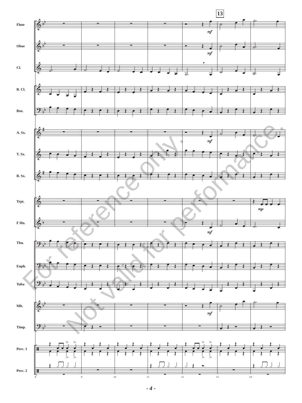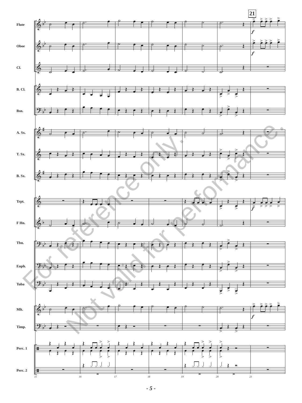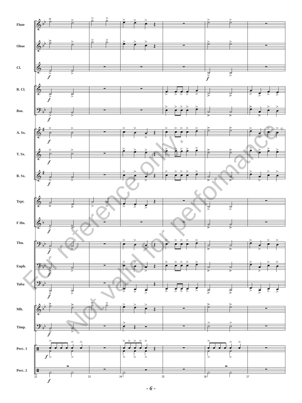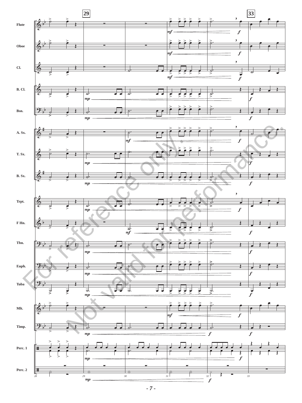

*- 7 -*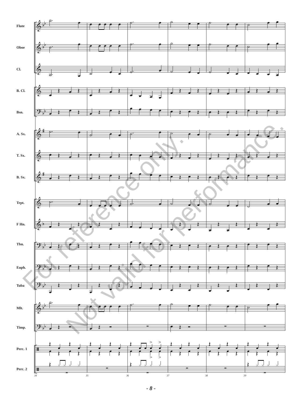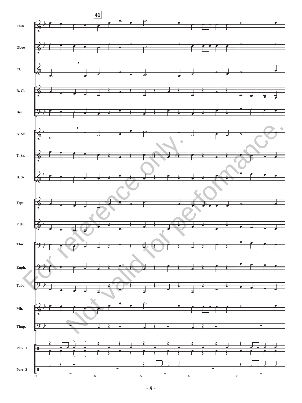